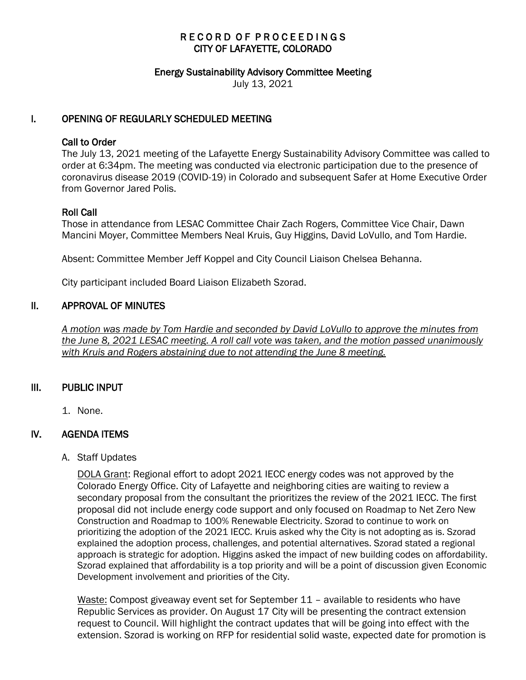# RECORD OF PROCEEDINGS CITY OF LAFAYETTE, COLORADO

#### Energy Sustainability Advisory Committee Meeting

July 13, 2021

## I. OPENING OF REGULARLY SCHEDULED MEETING

### Call to Order

The July 13, 2021 meeting of the Lafayette Energy Sustainability Advisory Committee was called to order at 6:34pm. The meeting was conducted via electronic participation due to the presence of coronavirus disease 2019 (COVID-19) in Colorado and subsequent Safer at Home Executive Order from Governor Jared Polis.

## Roll Call

Those in attendance from LESAC Committee Chair Zach Rogers, Committee Vice Chair, Dawn Mancini Moyer, Committee Members Neal Kruis, Guy Higgins, David LoVullo, and Tom Hardie.

Absent: Committee Member Jeff Koppel and City Council Liaison Chelsea Behanna.

City participant included Board Liaison Elizabeth Szorad.

### II. APPROVAL OF MINUTES

 *A motion was made by Tom Hardie and seconded by David LoVullo to approve the minutes from the June 8, 2021 LESAC meeting. A roll call vote was taken, and the motion passed unanimously with Kruis and Rogers abstaining due to not attending the June 8 meeting.* 

### III. PUBLIC INPUT

1. None.

# IV. AGENDA ITEMS

A. Staff Updates

DOLA Grant: Regional effort to adopt 2021 IECC energy codes was not approved by the Colorado Energy Office. City of Lafayette and neighboring cities are waiting to review a secondary proposal from the consultant the prioritizes the review of the 2021 IECC. The first proposal did not include energy code support and only focused on Roadmap to Net Zero New Construction and Roadmap to 100% Renewable Electricity. Szorad to continue to work on prioritizing the adoption of the 2021 IECC. Kruis asked why the City is not adopting as is. Szorad explained the adoption process, challenges, and potential alternatives. Szorad stated a regional approach is strategic for adoption. Higgins asked the impact of new building codes on affordability. Szorad explained that affordability is a top priority and will be a point of discussion given Economic Development involvement and priorities of the City.

Waste: Compost giveaway event set for September 11 – available to residents who have Republic Services as provider. On August 17 City will be presenting the contract extension request to Council. Will highlight the contract updates that will be going into effect with the extension. Szorad is working on RFP for residential solid waste, expected date for promotion is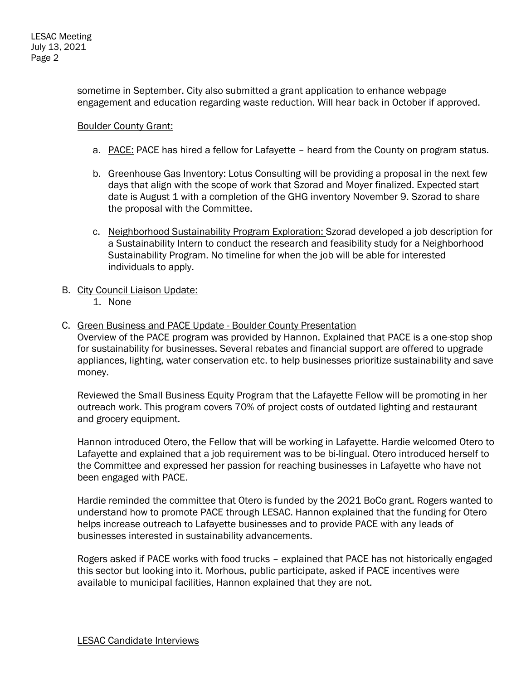sometime in September. City also submitted a grant application to enhance webpage engagement and education regarding waste reduction. Will hear back in October if approved.

### Boulder County Grant:

- a. PACE: PACE has hired a fellow for Lafayette heard from the County on program status.
- b. Greenhouse Gas Inventory: Lotus Consulting will be providing a proposal in the next few days that align with the scope of work that Szorad and Moyer finalized. Expected start date is August 1 with a completion of the GHG inventory November 9. Szorad to share the proposal with the Committee.
- c. Neighborhood Sustainability Program Exploration: Szorad developed a job description for a Sustainability Intern to conduct the research and feasibility study for a Neighborhood Sustainability Program. No timeline for when the job will be able for interested individuals to apply.
- B. City Council Liaison Update:
	- 1. None
- C. Green Business and PACE Update Boulder County Presentation

Overview of the PACE program was provided by Hannon. Explained that PACE is a one-stop shop for sustainability for businesses. Several rebates and financial support are offered to upgrade appliances, lighting, water conservation etc. to help businesses prioritize sustainability and save money.

Reviewed the Small Business Equity Program that the Lafayette Fellow will be promoting in her outreach work. This program covers 70% of project costs of outdated lighting and restaurant and grocery equipment.

Hannon introduced Otero, the Fellow that will be working in Lafayette. Hardie welcomed Otero to Lafayette and explained that a job requirement was to be bi-lingual. Otero introduced herself to the Committee and expressed her passion for reaching businesses in Lafayette who have not been engaged with PACE.

Hardie reminded the committee that Otero is funded by the 2021 BoCo grant. Rogers wanted to understand how to promote PACE through LESAC. Hannon explained that the funding for Otero helps increase outreach to Lafayette businesses and to provide PACE with any leads of businesses interested in sustainability advancements.

Rogers asked if PACE works with food trucks – explained that PACE has not historically engaged this sector but looking into it. Morhous, public participate, asked if PACE incentives were available to municipal facilities, Hannon explained that they are not.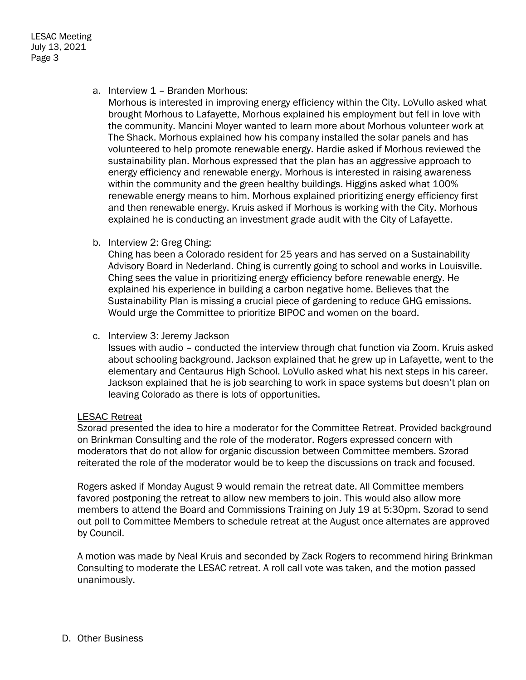a. Interview 1 – Branden Morhous:

Morhous is interested in improving energy efficiency within the City. LoVullo asked what brought Morhous to Lafayette, Morhous explained his employment but fell in love with the community. Mancini Moyer wanted to learn more about Morhous volunteer work at The Shack. Morhous explained how his company installed the solar panels and has volunteered to help promote renewable energy. Hardie asked if Morhous reviewed the sustainability plan. Morhous expressed that the plan has an aggressive approach to energy efficiency and renewable energy. Morhous is interested in raising awareness within the community and the green healthy buildings. Higgins asked what 100% renewable energy means to him. Morhous explained prioritizing energy efficiency first and then renewable energy. Kruis asked if Morhous is working with the City. Morhous explained he is conducting an investment grade audit with the City of Lafayette.

b. Interview 2: Greg Ching:

Ching has been a Colorado resident for 25 years and has served on a Sustainability Advisory Board in Nederland. Ching is currently going to school and works in Louisville. Ching sees the value in prioritizing energy efficiency before renewable energy. He explained his experience in building a carbon negative home. Believes that the Sustainability Plan is missing a crucial piece of gardening to reduce GHG emissions. Would urge the Committee to prioritize BIPOC and women on the board.

c. Interview 3: Jeremy Jackson

Issues with audio – conducted the interview through chat function via Zoom. Kruis asked about schooling background. Jackson explained that he grew up in Lafayette, went to the elementary and Centaurus High School. LoVullo asked what his next steps in his career. Jackson explained that he is job searching to work in space systems but doesn't plan on leaving Colorado as there is lots of opportunities.

#### LESAC Retreat

Szorad presented the idea to hire a moderator for the Committee Retreat. Provided background on Brinkman Consulting and the role of the moderator. Rogers expressed concern with moderators that do not allow for organic discussion between Committee members. Szorad reiterated the role of the moderator would be to keep the discussions on track and focused.

Rogers asked if Monday August 9 would remain the retreat date. All Committee members favored postponing the retreat to allow new members to join. This would also allow more members to attend the Board and Commissions Training on July 19 at 5:30pm. Szorad to send out poll to Committee Members to schedule retreat at the August once alternates are approved by Council.

A motion was made by Neal Kruis and seconded by Zack Rogers to recommend hiring Brinkman Consulting to moderate the LESAC retreat. A roll call vote was taken, and the motion passed unanimously.